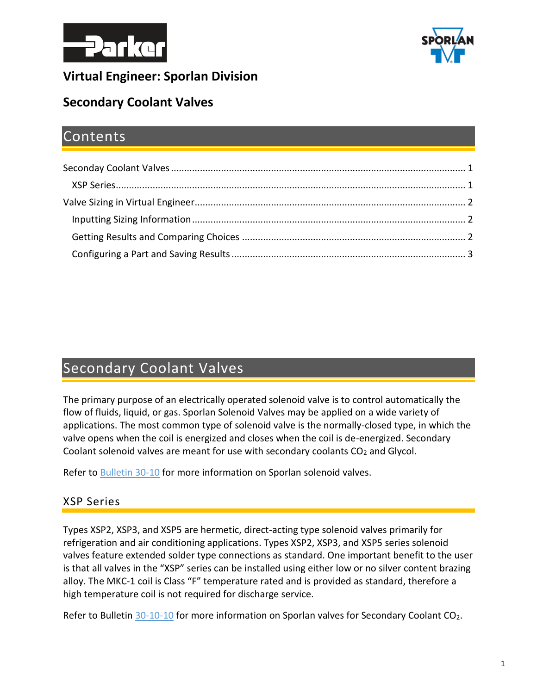



## **Virtual Engineer: Sporlan Division**

## **Secondary Coolant Valves**

## Contents

# <span id="page-0-0"></span>Secondary Coolant Valves

The primary purpose of an electrically operated solenoid valve is to control automatically the flow of fluids, liquid, or gas. Sporlan Solenoid Valves may be applied on a wide variety of applications. The most common type of solenoid valve is the normally-closed type, in which the valve opens when the coil is energized and closes when the coil is de-energized. Secondary Coolant solenoid valves are meant for use with secondary coolants CO<sub>2</sub> and Glycol.

Refer to [Bulletin 30-10](https://www.parker.com/literature/Sporlan/Sporlan%20pdf%20files/Sporlan%20pdf%20030/30-10%20Solenoid%20Valves.pdf?elqTrackId=f6b5d98ff30e43b18aa0e0d3c00a572c&elqaid=10089&elqat=2) for more information on Sporlan solenoid valves.

#### <span id="page-0-1"></span>XSP Series

Types XSP2, XSP3, and XSP5 are hermetic, direct-acting type solenoid valves primarily for refrigeration and air conditioning applications. Types XSP2, XSP3, and XSP5 series solenoid valves feature extended solder type connections as standard. One important benefit to the user is that all valves in the "XSP" series can be installed using either low or no silver content brazing alloy. The MKC-1 coil is Class "F" temperature rated and is provided as standard, therefore a high temperature coil is not required for discharge service.

Refer to Bulletin [30-10-10](https://www.parker.com/literature/Sporlan/Sporlan%20pdf%20files/Sporlan%20pdf%20030/30-10-10.pdf?elqTrackId=5ff290aca49b498681cdbbb44fd3d767&elqaid=10089&elqat=2) for more information on Sporlan valves for Secondary Coolant CO2.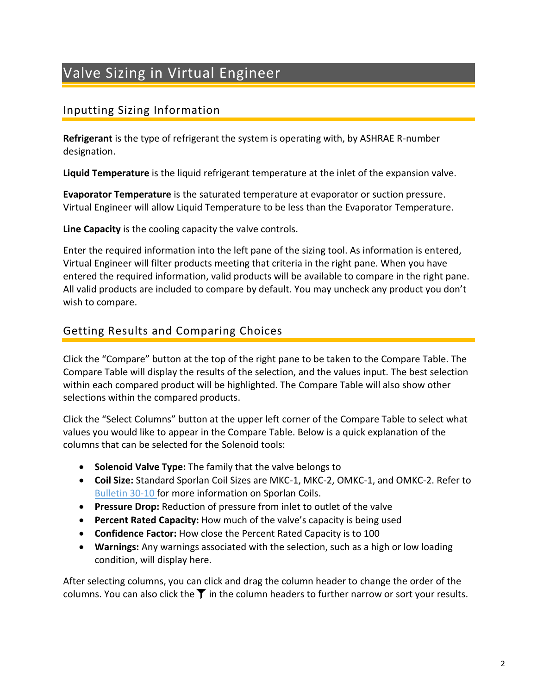# <span id="page-1-0"></span>Valve Sizing in Virtual Engineer

### <span id="page-1-1"></span>Inputting Sizing Information

**Refrigerant** is the type of refrigerant the system is operating with, by ASHRAE R-number designation.

**Liquid Temperature** is the liquid refrigerant temperature at the inlet of the expansion valve.

**Evaporator Temperature** is the saturated temperature at evaporator or suction pressure. Virtual Engineer will allow Liquid Temperature to be less than the Evaporator Temperature.

**Line Capacity** is the cooling capacity the valve controls.

Enter the required information into the left pane of the sizing tool. As information is entered, Virtual Engineer will filter products meeting that criteria in the right pane. When you have entered the required information, valid products will be available to compare in the right pane. All valid products are included to compare by default. You may uncheck any product you don't wish to compare.

#### <span id="page-1-2"></span>Getting Results and Comparing Choices

Click the "Compare" button at the top of the right pane to be taken to the Compare Table. The Compare Table will display the results of the selection, and the values input. The best selection within each compared product will be highlighted. The Compare Table will also show other selections within the compared products.

Click the "Select Columns" button at the upper left corner of the Compare Table to select what values you would like to appear in the Compare Table. Below is a quick explanation of the columns that can be selected for the Solenoid tools:

- **Solenoid Valve Type:** The family that the valve belongs to
- **Coil Size:** Standard Sporlan Coil Sizes are MKC-1, MKC-2, OMKC-1, and OMKC-2. Refer to [Bulletin 30-10](https://www.parker.com/literature/Sporlan/Sporlan%20pdf%20files/Sporlan%20pdf%20030/30-10%20Solenoid%20Valves.pdf?elqTrackId=f6b5d98ff30e43b18aa0e0d3c00a572c&elqaid=10089&elqat=2) for more information on Sporlan Coils.
- **Pressure Drop:** Reduction of pressure from inlet to outlet of the valve
- **Percent Rated Capacity:** How much of the valve's capacity is being used
- **Confidence Factor:** How close the Percent Rated Capacity is to 100
- **Warnings:** Any warnings associated with the selection, such as a high or low loading condition, will display here.

After selecting columns, you can click and drag the column header to change the order of the columns. You can also click the  $\blacktriangledown$  in the column headers to further narrow or sort your results.